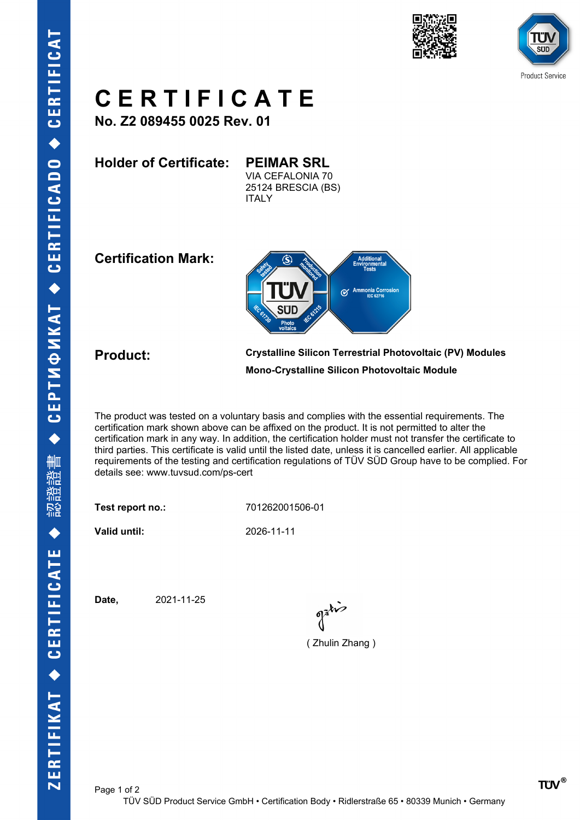





## **C E R T I F I C A T E**

**No. Z2 089455 0025 Rev. 01**

**Holder of Certificate: PEIMAR SRL**

VIA CEFALONIA 70 25124 BRESCIA (BS) **ITALY** 

**Certification Mark:**



**Product: Crystalline Silicon Terrestrial Photovoltaic (PV) Modules Mono-Crystalline Silicon Photovoltaic Module**

The product was tested on a voluntary basis and complies with the essential requirements. The certification mark shown above can be affixed on the product. It is not permitted to alter the certification mark in any way. In addition, the certification holder must not transfer the certificate to third parties. This certificate is valid until the listed date, unless it is cancelled earlier. All applicable requirements of the testing and certification regulations of TÜV SÜD Group have to be complied. For details see: www.tuvsud.com/ps-cert

**Test report no.:** 701262001506-01

**Valid until:** 2026-11-11

**Date,** 2021-11-25

( Zhulin Zhang )